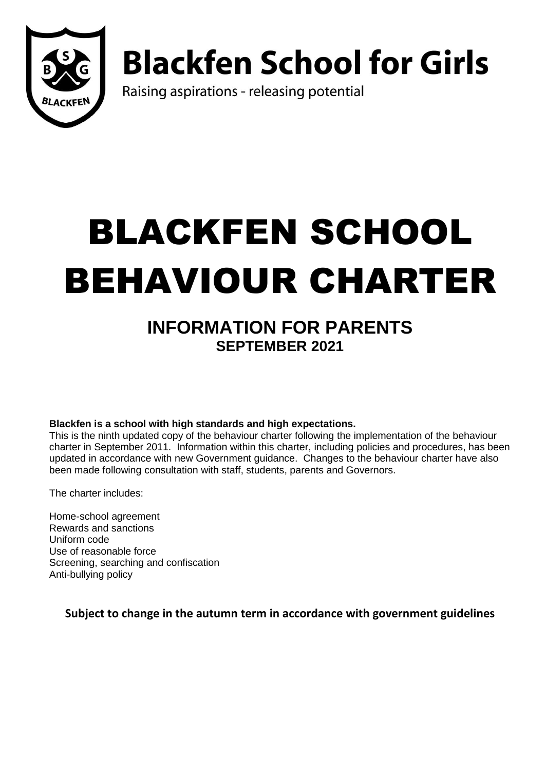

# **Blackfen School for Girls**

Raising aspirations - releasing potential

# BLACKFEN SCHOOL BEHAVIOUR CHARTER

# **INFORMATION FOR PARENTS SEPTEMBER 2021**

**Blackfen is a school with high standards and high expectations.** 

This is the ninth updated copy of the behaviour charter following the implementation of the behaviour charter in September 2011. Information within this charter, including policies and procedures, has been updated in accordance with new Government guidance. Changes to the behaviour charter have also been made following consultation with staff, students, parents and Governors.

The charter includes:

Home-school agreement Rewards and sanctions Uniform code Use of reasonable force Screening, searching and confiscation Anti-bullying policy

**Subject to change in the autumn term in accordance with government guidelines**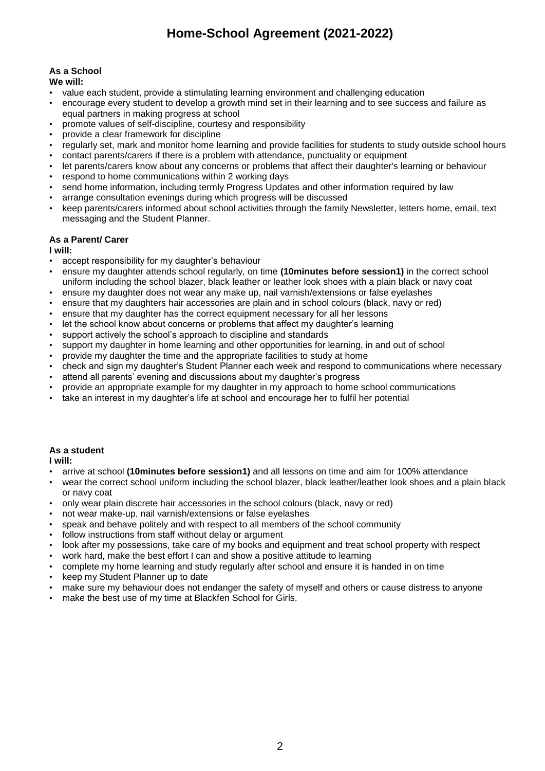## **Home-School Agreement (2021-2022)**

## **As a School**

**We will:**

- value each student, provide a stimulating learning environment and challenging education
- encourage every student to develop a growth mind set in their learning and to see success and failure as equal partners in making progress at school
- promote values of self-discipline, courtesy and responsibility
- provide a clear framework for discipline
- regularly set, mark and monitor home learning and provide facilities for students to study outside school hours
- contact parents/carers if there is a problem with attendance, punctuality or equipment
- let parents/carers know about any concerns or problems that affect their daughter's learning or behaviour
- respond to home communications within 2 working days
- send home information, including termly Progress Updates and other information required by law
- arrange consultation evenings during which progress will be discussed
- keep parents/carers informed about school activities through the family Newsletter, letters home, email, text messaging and the Student Planner.

#### **As a Parent/ Carer**

**I will:**

- accept responsibility for my daughter's behaviour
- ensure my daughter attends school regularly, on time **(10minutes before session1)** in the correct school uniform including the school blazer, black leather or leather look shoes with a plain black or navy coat
- ensure my daughter does not wear any make up, nail varnish/extensions or false eyelashes
- ensure that my daughters hair accessories are plain and in school colours (black, navy or red)
- ensure that my daughter has the correct equipment necessary for all her lessons
- let the school know about concerns or problems that affect my daughter's learning
- support actively the school's approach to discipline and standards
- support my daughter in home learning and other opportunities for learning, in and out of school
- provide my daughter the time and the appropriate facilities to study at home
- check and sign my daughter's Student Planner each week and respond to communications where necessary
- attend all parents' evening and discussions about my daughter's progress
- provide an appropriate example for my daughter in my approach to home school communications
- take an interest in my daughter's life at school and encourage her to fulfil her potential

#### **As a student**

**I will:**

- arrive at school **(10minutes before session1)** and all lessons on time and aim for 100% attendance
- wear the correct school uniform including the school blazer, black leather/leather look shoes and a plain black or navy coat
- only wear plain discrete hair accessories in the school colours (black, navy or red)
- not wear make-up, nail varnish/extensions or false eyelashes
- speak and behave politely and with respect to all members of the school community
- follow instructions from staff without delay or argument
- look after my possessions, take care of my books and equipment and treat school property with respect
- work hard, make the best effort I can and show a positive attitude to learning
- complete my home learning and study regularly after school and ensure it is handed in on time
- keep my Student Planner up to date
- make sure my behaviour does not endanger the safety of myself and others or cause distress to anyone
- make the best use of my time at Blackfen School for Girls.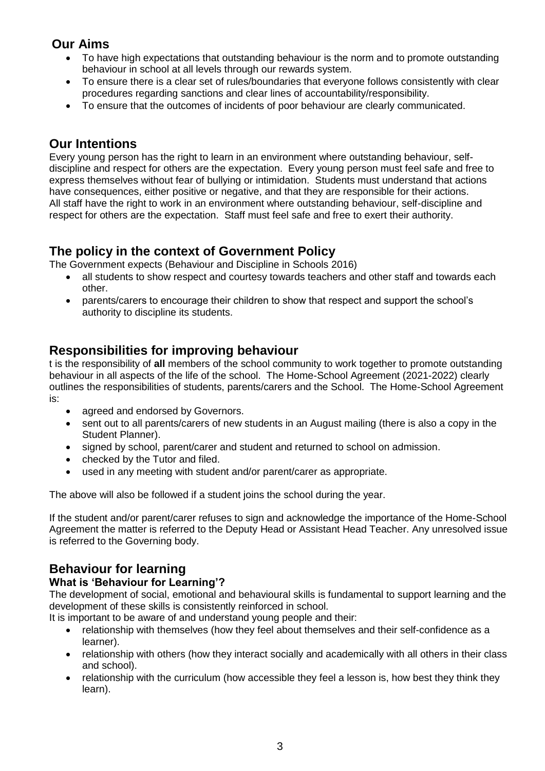## **Our Aims**

- To have high expectations that outstanding behaviour is the norm and to promote outstanding behaviour in school at all levels through our rewards system.
- To ensure there is a clear set of rules/boundaries that everyone follows consistently with clear procedures regarding sanctions and clear lines of accountability/responsibility.
- To ensure that the outcomes of incidents of poor behaviour are clearly communicated.

## **Our Intentions**

Every young person has the right to learn in an environment where outstanding behaviour, selfdiscipline and respect for others are the expectation. Every young person must feel safe and free to express themselves without fear of bullying or intimidation. Students must understand that actions have consequences, either positive or negative, and that they are responsible for their actions. All staff have the right to work in an environment where outstanding behaviour, self-discipline and respect for others are the expectation. Staff must feel safe and free to exert their authority.

## **The policy in the context of Government Policy**

The Government expects (Behaviour and Discipline in Schools 2016)

- all students to show respect and courtesy towards teachers and other staff and towards each other.
- parents/carers to encourage their children to show that respect and support the school's authority to discipline its students.

## **Responsibilities for improving behaviour**

t is the responsibility of **all** members of the school community to work together to promote outstanding behaviour in all aspects of the life of the school. The Home-School Agreement (2021-2022) clearly outlines the responsibilities of students, parents/carers and the School. The Home-School Agreement is:

- agreed and endorsed by Governors.
- sent out to all parents/carers of new students in an August mailing (there is also a copy in the Student Planner).
- signed by school, parent/carer and student and returned to school on admission.
- checked by the Tutor and filed.
- used in any meeting with student and/or parent/carer as appropriate.

The above will also be followed if a student joins the school during the year.

If the student and/or parent/carer refuses to sign and acknowledge the importance of the Home-School Agreement the matter is referred to the Deputy Head or Assistant Head Teacher. Any unresolved issue is referred to the Governing body.

## **Behaviour for learning**

#### **What is 'Behaviour for Learning'?**

The development of social, emotional and behavioural skills is fundamental to support learning and the development of these skills is consistently reinforced in school.

It is important to be aware of and understand young people and their:

- relationship with themselves (how they feel about themselves and their self-confidence as a learner).
- relationship with others (how they interact socially and academically with all others in their class and school).
- relationship with the curriculum (how accessible they feel a lesson is, how best they think they learn).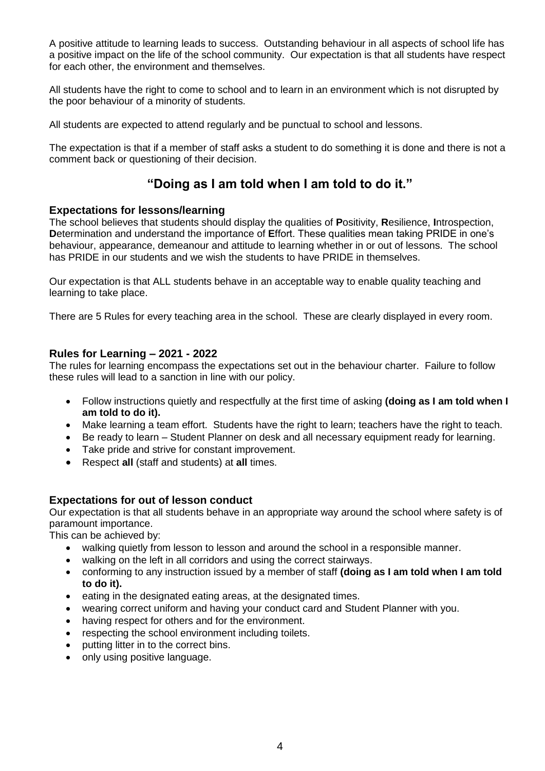A positive attitude to learning leads to success. Outstanding behaviour in all aspects of school life has a positive impact on the life of the school community. Our expectation is that all students have respect for each other, the environment and themselves.

All students have the right to come to school and to learn in an environment which is not disrupted by the poor behaviour of a minority of students.

All students are expected to attend regularly and be punctual to school and lessons.

The expectation is that if a member of staff asks a student to do something it is done and there is not a comment back or questioning of their decision.

## **"Doing as I am told when I am told to do it."**

#### **Expectations for lessons/learning**

The school believes that students should display the qualities of **P**ositivity, **R**esilience, **I**ntrospection, **D**etermination and understand the importance of **E**ffort. These qualities mean taking PRIDE in one's behaviour, appearance, demeanour and attitude to learning whether in or out of lessons. The school has PRIDE in our students and we wish the students to have PRIDE in themselves.

Our expectation is that ALL students behave in an acceptable way to enable quality teaching and learning to take place.

There are 5 Rules for every teaching area in the school. These are clearly displayed in every room.

#### **Rules for Learning – 2021 - 2022**

The rules for learning encompass the expectations set out in the behaviour charter. Failure to follow these rules will lead to a sanction in line with our policy.

- Follow instructions quietly and respectfully at the first time of asking **(doing as I am told when I am told to do it).**
- Make learning a team effort. Students have the right to learn; teachers have the right to teach.
- Be ready to learn Student Planner on desk and all necessary equipment ready for learning.
- Take pride and strive for constant improvement.
- Respect **all** (staff and students) at **all** times.

#### **Expectations for out of lesson conduct**

Our expectation is that all students behave in an appropriate way around the school where safety is of paramount importance.

This can be achieved by:

- walking quietly from lesson to lesson and around the school in a responsible manner.
- walking on the left in all corridors and using the correct stairways.
- conforming to any instruction issued by a member of staff **(doing as I am told when I am told to do it).**
- eating in the designated eating areas, at the designated times.
- wearing correct uniform and having your conduct card and Student Planner with you.
- having respect for others and for the environment.
- respecting the school environment including toilets.
- putting litter in to the correct bins.
- only using positive language.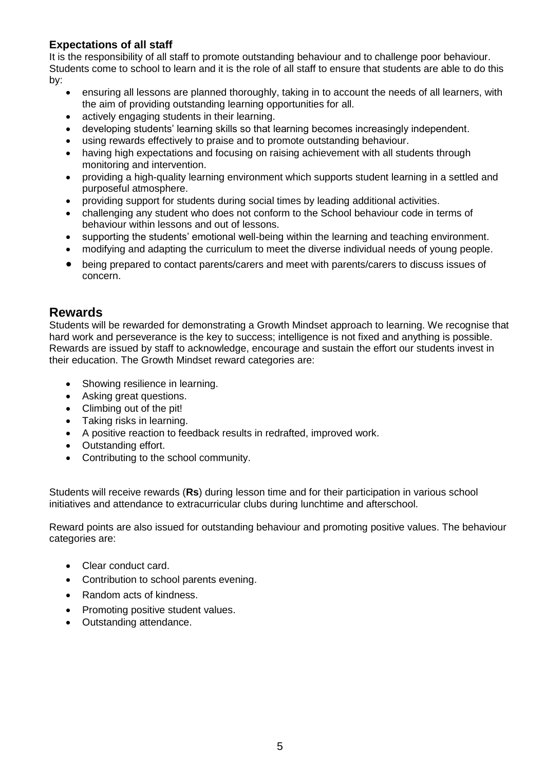#### **Expectations of all staff**

It is the responsibility of all staff to promote outstanding behaviour and to challenge poor behaviour. Students come to school to learn and it is the role of all staff to ensure that students are able to do this by:

- ensuring all lessons are planned thoroughly, taking in to account the needs of all learners, with the aim of providing outstanding learning opportunities for all.
- actively engaging students in their learning.
- developing students' learning skills so that learning becomes increasingly independent.
- using rewards effectively to praise and to promote outstanding behaviour.
- having high expectations and focusing on raising achievement with all students through monitoring and intervention.
- providing a high-quality learning environment which supports student learning in a settled and purposeful atmosphere.
- providing support for students during social times by leading additional activities.
- challenging any student who does not conform to the School behaviour code in terms of behaviour within lessons and out of lessons.
- supporting the students' emotional well-being within the learning and teaching environment.
- modifying and adapting the curriculum to meet the diverse individual needs of young people.
- being prepared to contact parents/carers and meet with parents/carers to discuss issues of concern.

## **Rewards**

Students will be rewarded for demonstrating a Growth Mindset approach to learning. We recognise that hard work and perseverance is the key to success; intelligence is not fixed and anything is possible. Rewards are issued by staff to acknowledge, encourage and sustain the effort our students invest in their education. The Growth Mindset reward categories are:

- Showing resilience in learning.
- Asking great questions.
- Climbing out of the pit!
- Taking risks in learning.
- A positive reaction to feedback results in redrafted, improved work.
- Outstanding effort.
- Contributing to the school community.

Students will receive rewards (**Rs**) during lesson time and for their participation in various school initiatives and attendance to extracurricular clubs during lunchtime and afterschool.

Reward points are also issued for outstanding behaviour and promoting positive values. The behaviour categories are:

- Clear conduct card.
- Contribution to school parents evening.
- Random acts of kindness.
- Promoting positive student values.
- Outstanding attendance.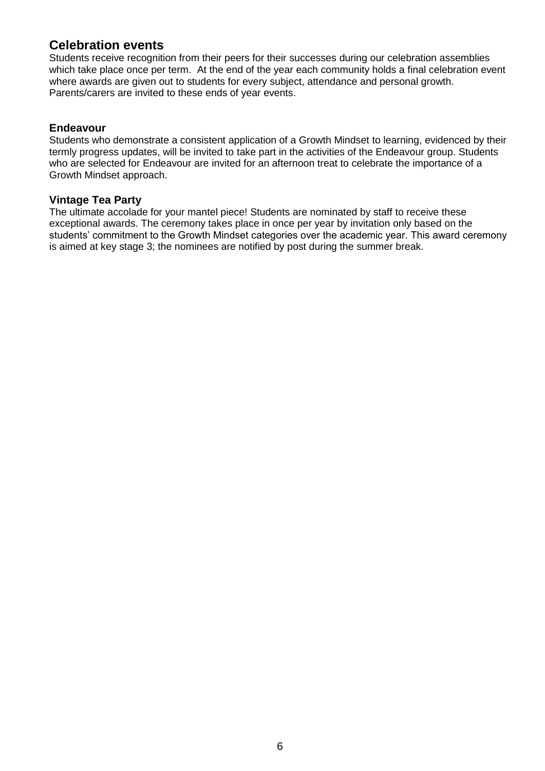## **Celebration events**

Students receive recognition from their peers for their successes during our celebration assemblies which take place once per term. At the end of the year each community holds a final celebration event where awards are given out to students for every subject, attendance and personal growth. Parents/carers are invited to these ends of year events.

#### **Endeavour**

Students who demonstrate a consistent application of a Growth Mindset to learning, evidenced by their termly progress updates, will be invited to take part in the activities of the Endeavour group. Students who are selected for Endeavour are invited for an afternoon treat to celebrate the importance of a Growth Mindset approach.

#### **Vintage Tea Party**

The ultimate accolade for your mantel piece! Students are nominated by staff to receive these exceptional awards. The ceremony takes place in once per year by invitation only based on the students' commitment to the Growth Mindset categories over the academic year. This award ceremony is aimed at key stage 3; the nominees are notified by post during the summer break.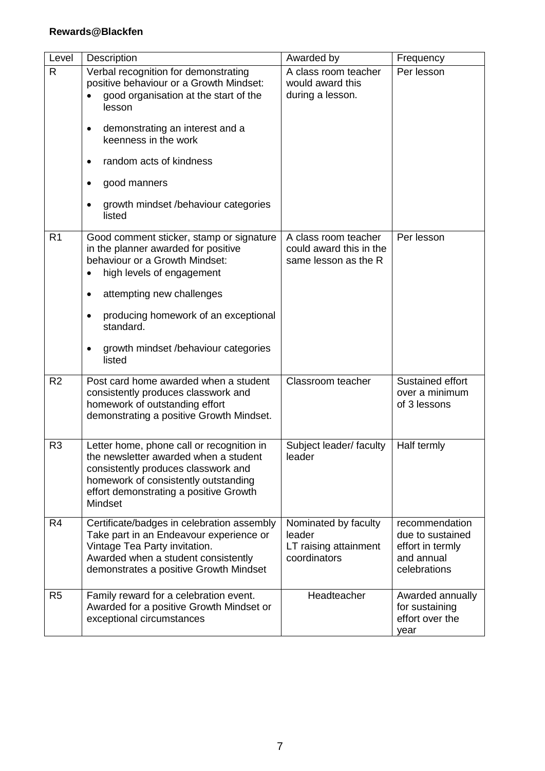| Level          | Description                                                                                                                                                                                                                                                                                          | Awarded by                                                              | Frequency                                                                            |
|----------------|------------------------------------------------------------------------------------------------------------------------------------------------------------------------------------------------------------------------------------------------------------------------------------------------------|-------------------------------------------------------------------------|--------------------------------------------------------------------------------------|
| R              | Verbal recognition for demonstrating<br>positive behaviour or a Growth Mindset:<br>good organisation at the start of the<br>lesson<br>demonstrating an interest and a<br>keenness in the work<br>random acts of kindness<br>٠<br>good manners<br>٠<br>growth mindset /behaviour categories<br>listed | A class room teacher<br>would award this<br>during a lesson.            | Per lesson                                                                           |
| R <sub>1</sub> | Good comment sticker, stamp or signature<br>in the planner awarded for positive<br>behaviour or a Growth Mindset:<br>high levels of engagement<br>attempting new challenges<br>٠<br>producing homework of an exceptional<br>standard.<br>growth mindset /behaviour categories<br>listed              | A class room teacher<br>could award this in the<br>same lesson as the R | Per lesson                                                                           |
| R <sub>2</sub> | Post card home awarded when a student<br>consistently produces classwork and<br>homework of outstanding effort<br>demonstrating a positive Growth Mindset.                                                                                                                                           | Classroom teacher                                                       | Sustained effort<br>over a minimum<br>of 3 lessons                                   |
| R <sub>3</sub> | Letter home, phone call or recognition in<br>the newsletter awarded when a student<br>consistently produces classwork and<br>homework of consistently outstanding<br>effort demonstrating a positive Growth<br>Mindset                                                                               | Subject leader/ faculty<br>leader                                       | Half termly                                                                          |
| R <sub>4</sub> | Certificate/badges in celebration assembly<br>Take part in an Endeavour experience or<br>Vintage Tea Party invitation.<br>Awarded when a student consistently<br>demonstrates a positive Growth Mindset                                                                                              | Nominated by faculty<br>leader<br>LT raising attainment<br>coordinators | recommendation<br>due to sustained<br>effort in termly<br>and annual<br>celebrations |
| R <sub>5</sub> | Family reward for a celebration event.<br>Awarded for a positive Growth Mindset or<br>exceptional circumstances                                                                                                                                                                                      | Headteacher                                                             | Awarded annually<br>for sustaining<br>effort over the<br>year                        |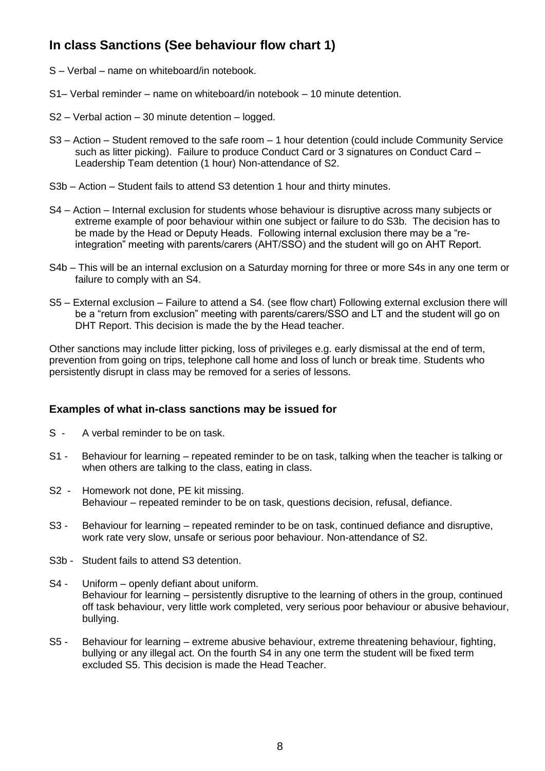## **In class Sanctions (See behaviour flow chart 1)**

- S Verbal name on whiteboard/in notebook.
- S1– Verbal reminder name on whiteboard/in notebook 10 minute detention.
- S2 Verbal action 30 minute detention logged.
- S3 Action Student removed to the safe room 1 hour detention (could include Community Service such as litter picking). Failure to produce Conduct Card or 3 signatures on Conduct Card – Leadership Team detention (1 hour) Non-attendance of S2.
- S3b Action Student fails to attend S3 detention 1 hour and thirty minutes.
- S4 Action Internal exclusion for students whose behaviour is disruptive across many subjects or extreme example of poor behaviour within one subject or failure to do S3b. The decision has to be made by the Head or Deputy Heads. Following internal exclusion there may be a "reintegration" meeting with parents/carers (AHT/SSO) and the student will go on AHT Report.
- S4b This will be an internal exclusion on a Saturday morning for three or more S4s in any one term or failure to comply with an S4.
- S5 External exclusion Failure to attend a S4. (see flow chart) Following external exclusion there will be a "return from exclusion" meeting with parents/carers/SSO and LT and the student will go on DHT Report. This decision is made the by the Head teacher.

Other sanctions may include litter picking, loss of privileges e.g. early dismissal at the end of term, prevention from going on trips, telephone call home and loss of lunch or break time. Students who persistently disrupt in class may be removed for a series of lessons.

#### **Examples of what in-class sanctions may be issued for**

- S A verbal reminder to be on task.
- S1 Behaviour for learning repeated reminder to be on task, talking when the teacher is talking or when others are talking to the class, eating in class.
- S2 Homework not done, PE kit missing. Behaviour – repeated reminder to be on task, questions decision, refusal, defiance.
- S3 Behaviour for learning repeated reminder to be on task, continued defiance and disruptive, work rate very slow, unsafe or serious poor behaviour. Non-attendance of S2.
- S3b Student fails to attend S3 detention.
- S4 Uniform openly defiant about uniform. Behaviour for learning – persistently disruptive to the learning of others in the group, continued off task behaviour, very little work completed, very serious poor behaviour or abusive behaviour, bullying.
- S5 Behaviour for learning extreme abusive behaviour, extreme threatening behaviour, fighting, bullying or any illegal act. On the fourth S4 in any one term the student will be fixed term excluded S5. This decision is made the Head Teacher.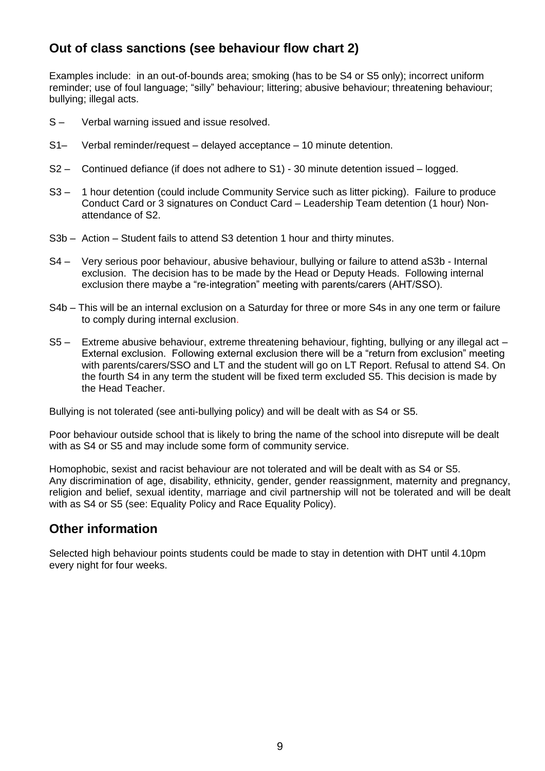## **Out of class sanctions (see behaviour flow chart 2)**

Examples include: in an out-of-bounds area; smoking (has to be S4 or S5 only); incorrect uniform reminder; use of foul language; "silly" behaviour; littering; abusive behaviour; threatening behaviour; bullying; illegal acts.

- S Verbal warning issued and issue resolved.
- S1– Verbal reminder/request delayed acceptance 10 minute detention.
- S2 Continued defiance (if does not adhere to S1) 30 minute detention issued logged.
- S3 1 hour detention (could include Community Service such as litter picking). Failure to produce Conduct Card or 3 signatures on Conduct Card – Leadership Team detention (1 hour) Nonattendance of S2.
- S3b Action Student fails to attend S3 detention 1 hour and thirty minutes.
- S4 Very serious poor behaviour, abusive behaviour, bullying or failure to attend aS3b Internal exclusion. The decision has to be made by the Head or Deputy Heads. Following internal exclusion there maybe a "re-integration" meeting with parents/carers (AHT/SSO).
- S4b This will be an internal exclusion on a Saturday for three or more S4s in any one term or failure to comply during internal exclusion.
- S5 Extreme abusive behaviour, extreme threatening behaviour, fighting, bullying or any illegal act External exclusion. Following external exclusion there will be a "return from exclusion" meeting with parents/carers/SSO and LT and the student will go on LT Report. Refusal to attend S4. On the fourth S4 in any term the student will be fixed term excluded S5. This decision is made by the Head Teacher.

Bullying is not tolerated (see anti-bullying policy) and will be dealt with as S4 or S5.

Poor behaviour outside school that is likely to bring the name of the school into disrepute will be dealt with as S4 or S5 and may include some form of community service.

Homophobic, sexist and racist behaviour are not tolerated and will be dealt with as S4 or S5. Any discrimination of age, disability, ethnicity, gender, gender reassignment, maternity and pregnancy, religion and belief, sexual identity, marriage and civil partnership will not be tolerated and will be dealt with as S4 or S5 (see: Equality Policy and Race Equality Policy).

#### **Other information**

Selected high behaviour points students could be made to stay in detention with DHT until 4.10pm every night for four weeks.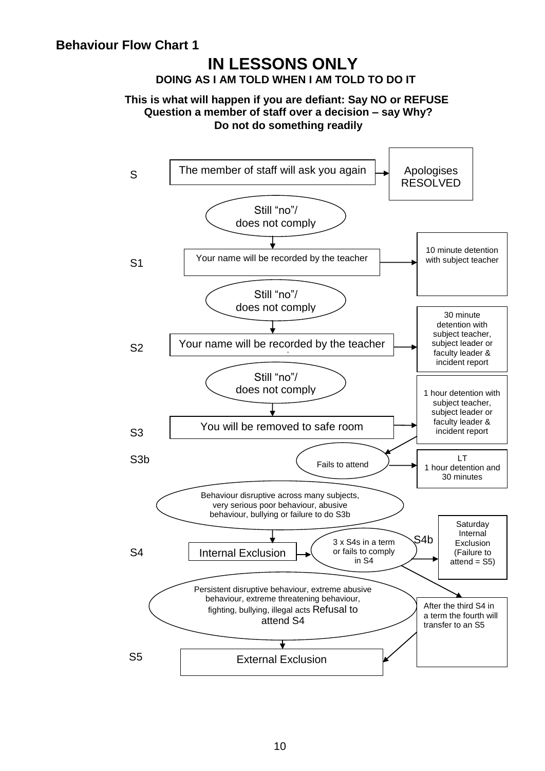## **IN LESSONS ONLY DOING AS I AM TOLD WHEN I AM TOLD TO DO IT**

#### **This is what will happen if you are defiant: Say NO or REFUSE Question a member of staff over a decision – say Why? Do not do something readily**

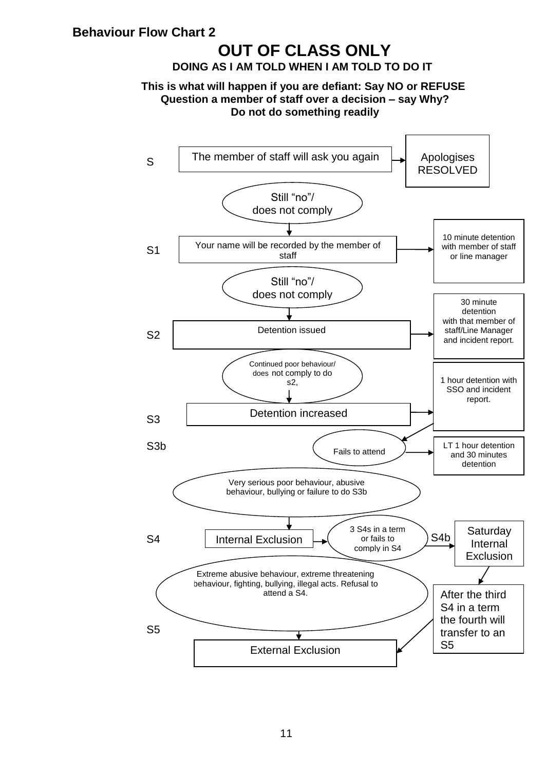## **Behaviour Flow Chart 2**

## **OUT OF CLASS ONLY**

**DOING AS I AM TOLD WHEN I AM TOLD TO DO IT** 

#### **This is what will happen if you are defiant: Say NO or REFUSE Question a member of staff over a decision – say Why? Do not do something readily**

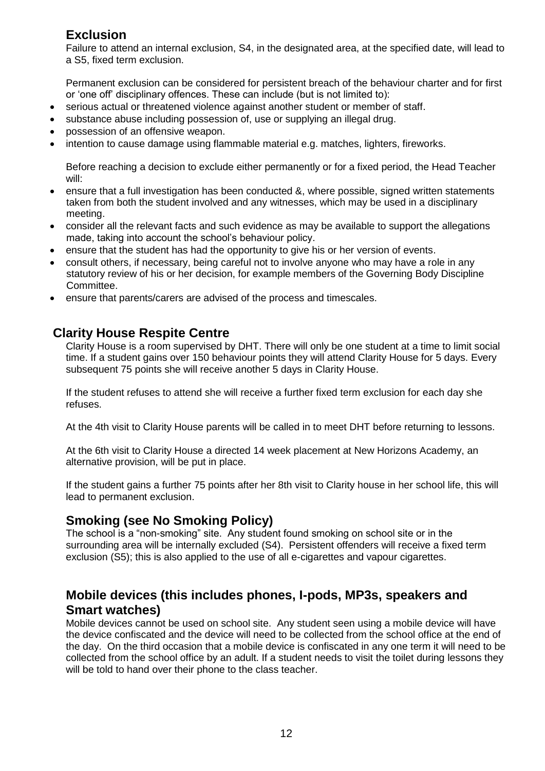## **Exclusion**

Failure to attend an internal exclusion, S4, in the designated area, at the specified date, will lead to a S5, fixed term exclusion.

Permanent exclusion can be considered for persistent breach of the behaviour charter and for first or 'one off' disciplinary offences. These can include (but is not limited to):

- serious actual or threatened violence against another student or member of staff.
- substance abuse including possession of, use or supplying an illegal drug.
- possession of an offensive weapon.
- intention to cause damage using flammable material e.g. matches, lighters, fireworks.

Before reaching a decision to exclude either permanently or for a fixed period, the Head Teacher will:

- ensure that a full investigation has been conducted &, where possible, signed written statements taken from both the student involved and any witnesses, which may be used in a disciplinary meeting.
- consider all the relevant facts and such evidence as may be available to support the allegations made, taking into account the school's behaviour policy.
- ensure that the student has had the opportunity to give his or her version of events.
- consult others, if necessary, being careful not to involve anyone who may have a role in any statutory review of his or her decision, for example members of the Governing Body Discipline Committee.
- ensure that parents/carers are advised of the process and timescales.

## **Clarity House Respite Centre**

Clarity House is a room supervised by DHT. There will only be one student at a time to limit social time. If a student gains over 150 behaviour points they will attend Clarity House for 5 days. Every subsequent 75 points she will receive another 5 days in Clarity House.

If the student refuses to attend she will receive a further fixed term exclusion for each day she refuses.

At the 4th visit to Clarity House parents will be called in to meet DHT before returning to lessons.

At the 6th visit to Clarity House a directed 14 week placement at New Horizons Academy, an alternative provision, will be put in place.

If the student gains a further 75 points after her 8th visit to Clarity house in her school life, this will lead to permanent exclusion.

## **Smoking (see No Smoking Policy)**

The school is a "non-smoking" site. Any student found smoking on school site or in the surrounding area will be internally excluded (S4). Persistent offenders will receive a fixed term exclusion (S5); this is also applied to the use of all e-cigarettes and vapour cigarettes.

## **Mobile devices (this includes phones, I-pods, MP3s, speakers and Smart watches)**

Mobile devices cannot be used on school site. Any student seen using a mobile device will have the device confiscated and the device will need to be collected from the school office at the end of the day. On the third occasion that a mobile device is confiscated in any one term it will need to be collected from the school office by an adult. If a student needs to visit the toilet during lessons they will be told to hand over their phone to the class teacher.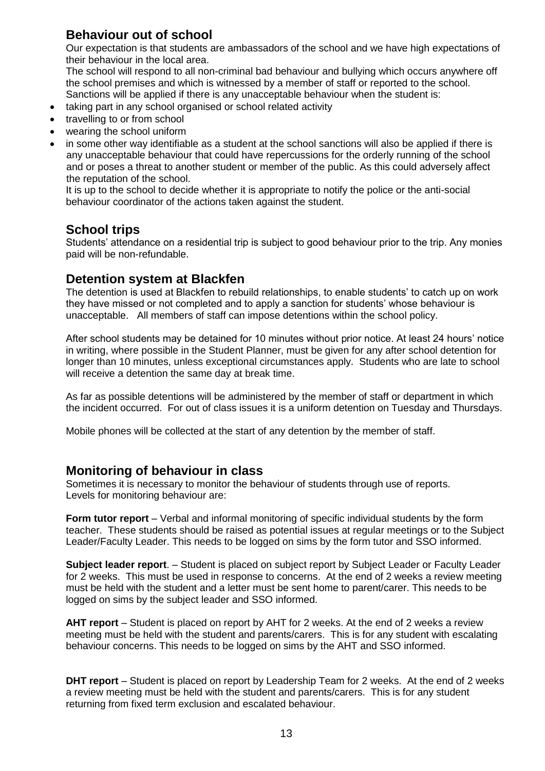## **Behaviour out of school**

Our expectation is that students are ambassadors of the school and we have high expectations of their behaviour in the local area.

The school will respond to all non-criminal bad behaviour and bullying which occurs anywhere off the school premises and which is witnessed by a member of staff or reported to the school. Sanctions will be applied if there is any unacceptable behaviour when the student is:

- taking part in any school organised or school related activity
- travelling to or from school
- wearing the school uniform
- in some other way identifiable as a student at the school sanctions will also be applied if there is any unacceptable behaviour that could have repercussions for the orderly running of the school and or poses a threat to another student or member of the public. As this could adversely affect the reputation of the school.

It is up to the school to decide whether it is appropriate to notify the police or the anti-social behaviour coordinator of the actions taken against the student.

## **School trips**

Students' attendance on a residential trip is subject to good behaviour prior to the trip. Any monies paid will be non-refundable.

## **Detention system at Blackfen**

The detention is used at Blackfen to rebuild relationships, to enable students' to catch up on work they have missed or not completed and to apply a sanction for students' whose behaviour is unacceptable. All members of staff can impose detentions within the school policy.

After school students may be detained for 10 minutes without prior notice. At least 24 hours' notice in writing, where possible in the Student Planner, must be given for any after school detention for longer than 10 minutes, unless exceptional circumstances apply. Students who are late to school will receive a detention the same day at break time.

As far as possible detentions will be administered by the member of staff or department in which the incident occurred. For out of class issues it is a uniform detention on Tuesday and Thursdays.

Mobile phones will be collected at the start of any detention by the member of staff.

## **Monitoring of behaviour in class**

Sometimes it is necessary to monitor the behaviour of students through use of reports. Levels for monitoring behaviour are:

**Form tutor report** – Verbal and informal monitoring of specific individual students by the form teacher. These students should be raised as potential issues at regular meetings or to the Subject Leader/Faculty Leader. This needs to be logged on sims by the form tutor and SSO informed.

**Subject leader report**. – Student is placed on subject report by Subject Leader or Faculty Leader for 2 weeks. This must be used in response to concerns. At the end of 2 weeks a review meeting must be held with the student and a letter must be sent home to parent/carer. This needs to be logged on sims by the subject leader and SSO informed.

**AHT report** – Student is placed on report by AHT for 2 weeks. At the end of 2 weeks a review meeting must be held with the student and parents/carers. This is for any student with escalating behaviour concerns. This needs to be logged on sims by the AHT and SSO informed.

**DHT report** – Student is placed on report by Leadership Team for 2 weeks. At the end of 2 weeks a review meeting must be held with the student and parents/carers. This is for any student returning from fixed term exclusion and escalated behaviour.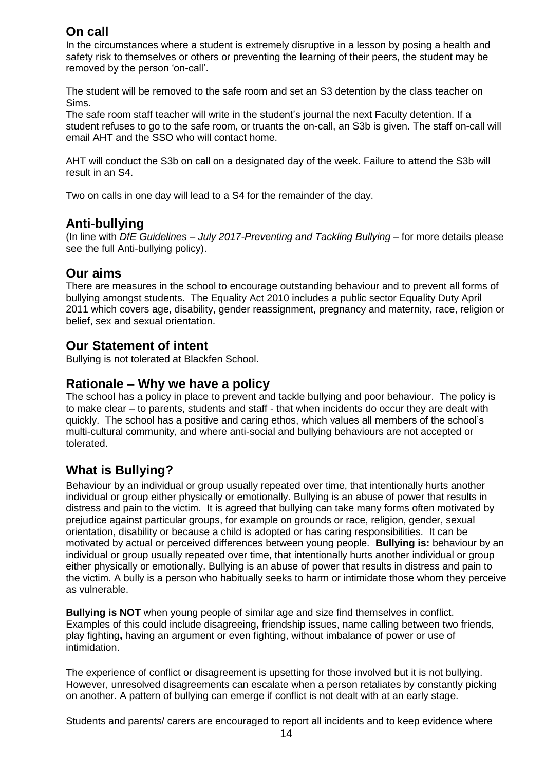## **On call**

In the circumstances where a student is extremely disruptive in a lesson by posing a health and safety risk to themselves or others or preventing the learning of their peers, the student may be removed by the person 'on-call'.

The student will be removed to the safe room and set an S3 detention by the class teacher on Sims.

The safe room staff teacher will write in the student's journal the next Faculty detention. If a student refuses to go to the safe room, or truants the on-call, an S3b is given. The staff on-call will email AHT and the SSO who will contact home.

AHT will conduct the S3b on call on a designated day of the week. Failure to attend the S3b will result in an S4.

Two on calls in one day will lead to a S4 for the remainder of the day.

## **Anti-bullying**

(In line with *DfE Guidelines – July 2017-Preventing and Tackling Bullying* – for more details please see the full Anti-bullying policy).

#### **Our aims**

There are measures in the school to encourage outstanding behaviour and to prevent all forms of bullying amongst students. The Equality Act 2010 includes a public sector Equality Duty April 2011 which covers age, disability, gender reassignment, pregnancy and maternity, race, religion or belief, sex and sexual orientation.

## **Our Statement of intent**

Bullying is not tolerated at Blackfen School.

#### **Rationale – Why we have a policy**

The school has a policy in place to prevent and tackle bullying and poor behaviour. The policy is to make clear – to parents, students and staff - that when incidents do occur they are dealt with quickly. The school has a positive and caring ethos, which values all members of the school's multi-cultural community, and where anti-social and bullying behaviours are not accepted or tolerated.

## **What is Bullying?**

Behaviour by an individual or group usually repeated over time, that intentionally hurts another individual or group either physically or emotionally. Bullying is an abuse of power that results in distress and pain to the victim. It is agreed that bullying can take many forms often motivated by prejudice against particular groups, for example on grounds or race, religion, gender, sexual orientation, disability or because a child is adopted or has caring responsibilities. It can be motivated by actual or perceived differences between young people. **Bullying is:** behaviour by an individual or group usually repeated over time, that intentionally hurts another individual or group either physically or emotionally. Bullying is an abuse of power that results in distress and pain to the victim. A bully is a person who habitually seeks to harm or intimidate those whom they perceive as vulnerable.

**Bullying is NOT** when young people of similar age and size find themselves in conflict. Examples of this could include disagreeing**,** friendship issues, name calling between two friends, play fighting**,** having an argument or even fighting, without imbalance of power or use of intimidation.

The experience of conflict or disagreement is upsetting for those involved but it is not bullying. However, unresolved disagreements can escalate when a person retaliates by constantly picking on another. A pattern of bullying can emerge if conflict is not dealt with at an early stage.

Students and parents/ carers are encouraged to report all incidents and to keep evidence where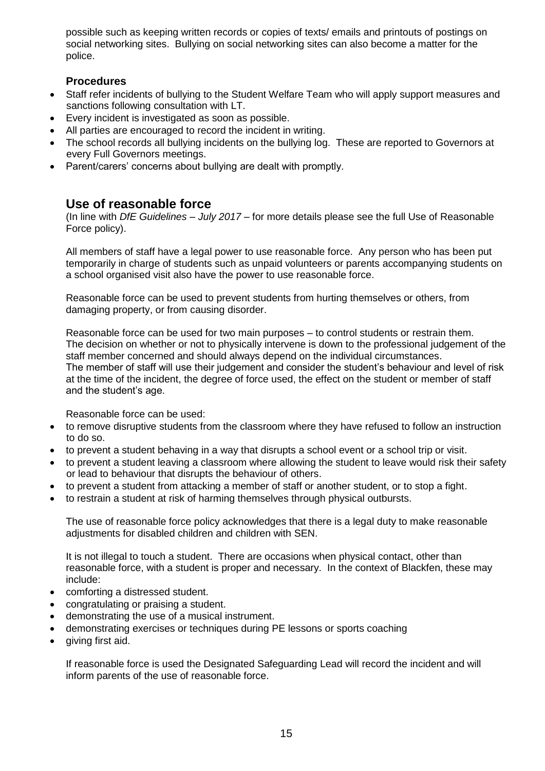possible such as keeping written records or copies of texts/ emails and printouts of postings on social networking sites. Bullying on social networking sites can also become a matter for the police.

#### **Procedures**

- Staff refer incidents of bullying to the Student Welfare Team who will apply support measures and sanctions following consultation with LT.
- Every incident is investigated as soon as possible.
- All parties are encouraged to record the incident in writing.
- The school records all bullying incidents on the bullying log. These are reported to Governors at every Full Governors meetings.
- Parent/carers' concerns about bullying are dealt with promptly.

## **Use of reasonable force**

(In line with *DfE Guidelines – July 2017 –* for more details please see the full Use of Reasonable Force policy).

All members of staff have a legal power to use reasonable force. Any person who has been put temporarily in charge of students such as unpaid volunteers or parents accompanying students on a school organised visit also have the power to use reasonable force.

Reasonable force can be used to prevent students from hurting themselves or others, from damaging property, or from causing disorder.

Reasonable force can be used for two main purposes – to control students or restrain them. The decision on whether or not to physically intervene is down to the professional judgement of the staff member concerned and should always depend on the individual circumstances. The member of staff will use their judgement and consider the student's behaviour and level of risk at the time of the incident, the degree of force used, the effect on the student or member of staff and the student's age.

Reasonable force can be used:

- to remove disruptive students from the classroom where they have refused to follow an instruction to do so.
- to prevent a student behaving in a way that disrupts a school event or a school trip or visit.
- to prevent a student leaving a classroom where allowing the student to leave would risk their safety or lead to behaviour that disrupts the behaviour of others.
- to prevent a student from attacking a member of staff or another student, or to stop a fight.
- to restrain a student at risk of harming themselves through physical outbursts.

The use of reasonable force policy acknowledges that there is a legal duty to make reasonable adjustments for disabled children and children with SEN.

It is not illegal to touch a student. There are occasions when physical contact, other than reasonable force, with a student is proper and necessary. In the context of Blackfen, these may include:

- comforting a distressed student.
- congratulating or praising a student.
- demonstrating the use of a musical instrument.
- demonstrating exercises or techniques during PE lessons or sports coaching
- giving first aid.

If reasonable force is used the Designated Safeguarding Lead will record the incident and will inform parents of the use of reasonable force.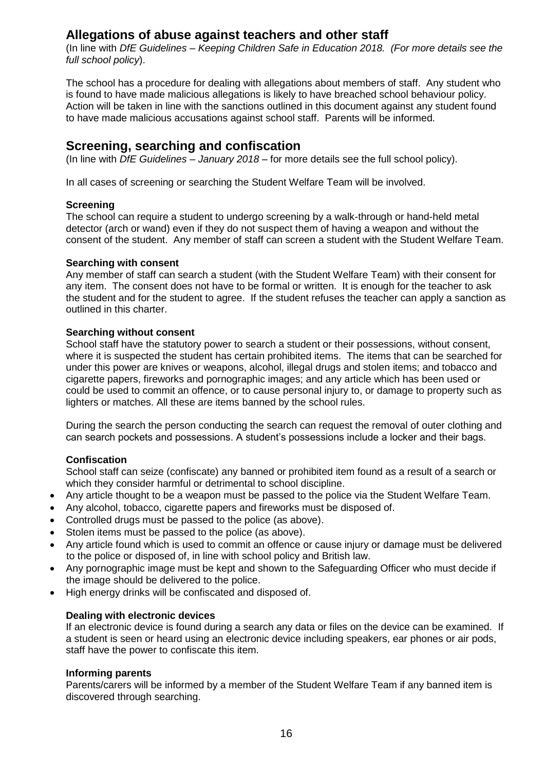## **Allegations of abuse against teachers and other staff**

(In line with *DfE Guidelines – Keeping Children Safe in Education 2018. (For more details see the full school policy*).

The school has a procedure for dealing with allegations about members of staff. Any student who is found to have made malicious allegations is likely to have breached school behaviour policy. Action will be taken in line with the sanctions outlined in this document against any student found to have made malicious accusations against school staff. Parents will be informed.

#### **Screening, searching and confiscation**

(In line with *DfE Guidelines – January 2018* – for more details see the full school policy).

In all cases of screening or searching the Student Welfare Team will be involved.

#### **Screening**

The school can require a student to undergo screening by a walk-through or hand-held metal detector (arch or wand) even if they do not suspect them of having a weapon and without the consent of the student. Any member of staff can screen a student with the Student Welfare Team.

#### **Searching with consent**

Any member of staff can search a student (with the Student Welfare Team) with their consent for any item. The consent does not have to be formal or written. It is enough for the teacher to ask the student and for the student to agree. If the student refuses the teacher can apply a sanction as outlined in this charter.

#### **Searching without consent**

School staff have the statutory power to search a student or their possessions, without consent, where it is suspected the student has certain prohibited items. The items that can be searched for under this power are knives or weapons, alcohol, illegal drugs and stolen items; and tobacco and cigarette papers, fireworks and pornographic images; and any article which has been used or could be used to commit an offence, or to cause personal injury to, or damage to property such as lighters or matches. All these are items banned by the school rules.

During the search the person conducting the search can request the removal of outer clothing and can search pockets and possessions. A student's possessions include a locker and their bags.

#### **Confiscation**

School staff can seize (confiscate) any banned or prohibited item found as a result of a search or which they consider harmful or detrimental to school discipline.

- Any article thought to be a weapon must be passed to the police via the Student Welfare Team.
- Any alcohol, tobacco, cigarette papers and fireworks must be disposed of.
- Controlled drugs must be passed to the police (as above).
- Stolen items must be passed to the police (as above).
- Any article found which is used to commit an offence or cause injury or damage must be delivered to the police or disposed of, in line with school policy and British law.
- Any pornographic image must be kept and shown to the Safeguarding Officer who must decide if the image should be delivered to the police.
- High energy drinks will be confiscated and disposed of.

#### **Dealing with electronic devices**

If an electronic device is found during a search any data or files on the device can be examined. If a student is seen or heard using an electronic device including speakers, ear phones or air pods, staff have the power to confiscate this item.

#### **Informing parents**

Parents/carers will be informed by a member of the Student Welfare Team if any banned item is discovered through searching.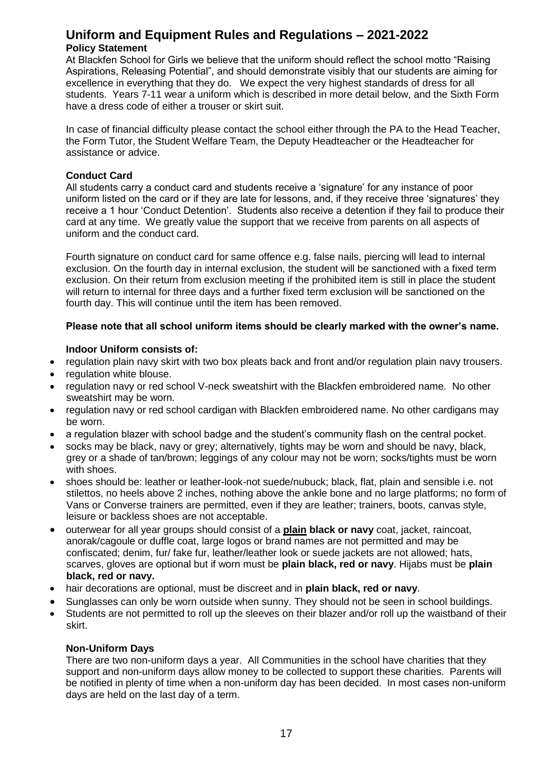#### **Uniform and Equipment Rules and Regulations – 2021-2022 Policy Statement**

At Blackfen School for Girls we believe that the uniform should reflect the school motto "Raising Aspirations, Releasing Potential", and should demonstrate visibly that our students are aiming for excellence in everything that they do. We expect the very highest standards of dress for all students. Years 7-11 wear a uniform which is described in more detail below, and the Sixth Form have a dress code of either a trouser or skirt suit.

In case of financial difficulty please contact the school either through the PA to the Head Teacher, the Form Tutor, the Student Welfare Team, the Deputy Headteacher or the Headteacher for assistance or advice.

#### **Conduct Card**

All students carry a conduct card and students receive a 'signature' for any instance of poor uniform listed on the card or if they are late for lessons, and, if they receive three 'signatures' they receive a 1 hour 'Conduct Detention'. Students also receive a detention if they fail to produce their card at any time. We greatly value the support that we receive from parents on all aspects of uniform and the conduct card.

Fourth signature on conduct card for same offence e.g. false nails, piercing will lead to internal exclusion. On the fourth day in internal exclusion, the student will be sanctioned with a fixed term exclusion. On their return from exclusion meeting if the prohibited item is still in place the student will return to internal for three days and a further fixed term exclusion will be sanctioned on the fourth day. This will continue until the item has been removed.

#### **Please note that all school uniform items should be clearly marked with the owner's name.**

#### **Indoor Uniform consists of:**

- regulation plain navy skirt with two box pleats back and front and/or regulation plain navy trousers.
- regulation white blouse.
- regulation navy or red school V-neck sweatshirt with the Blackfen embroidered name. No other sweatshirt may be worn.
- regulation navy or red school cardigan with Blackfen embroidered name. No other cardigans may be worn.
- a regulation blazer with school badge and the student's community flash on the central pocket.
- socks may be black, navy or grey; alternatively, tights may be worn and should be navy, black, grey or a shade of tan/brown; leggings of any colour may not be worn; socks/tights must be worn with shoes.
- shoes should be: leather or leather-look-not suede/nubuck; black, flat, plain and sensible i.e. not stilettos, no heels above 2 inches, nothing above the ankle bone and no large platforms; no form of Vans or Converse trainers are permitted, even if they are leather; trainers, boots, canvas style, leisure or backless shoes are not acceptable.
- outerwear for all year groups should consist of a **plain black or navy** coat, jacket, raincoat, anorak/cagoule or duffle coat, large logos or brand names are not permitted and may be confiscated; denim, fur/ fake fur, leather/leather look or suede jackets are not allowed; hats, scarves, gloves are optional but if worn must be **plain black, red or navy**. Hijabs must be **plain black, red or navy.**
- hair decorations are optional, must be discreet and in **plain black, red or navy**.
- Sunglasses can only be worn outside when sunny. They should not be seen in school buildings.
- Students are not permitted to roll up the sleeves on their blazer and/or roll up the waistband of their skirt.

#### **Non-Uniform Days**

There are two non-uniform days a year. All Communities in the school have charities that they support and non-uniform days allow money to be collected to support these charities. Parents will be notified in plenty of time when a non-uniform day has been decided. In most cases non-uniform days are held on the last day of a term.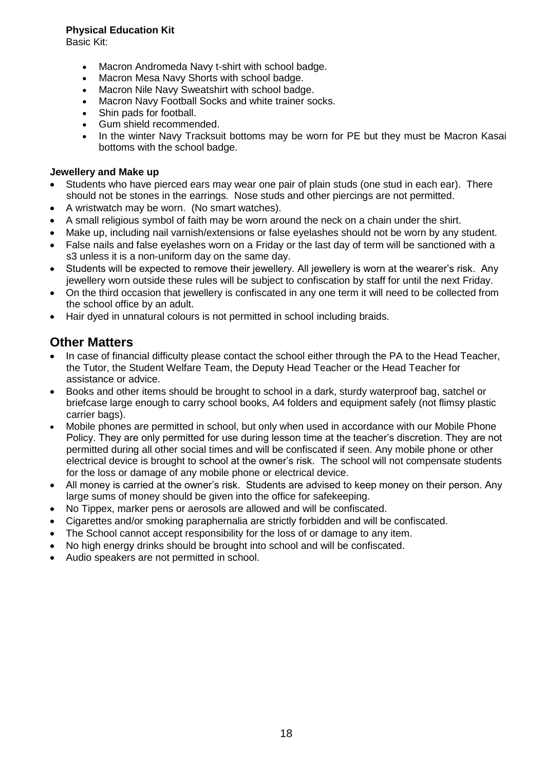#### **Physical Education Kit**

Basic Kit:

- Macron Andromeda Navy t-shirt with school badge.
- Macron Mesa Navy Shorts with school badge.
- Macron Nile Navy Sweatshirt with school badge.
- Macron Navy Football Socks and white trainer socks.
- Shin pads for football.
- Gum shield recommended.
- In the winter Navy Tracksuit bottoms may be worn for PE but they must be Macron Kasai bottoms with the school badge.

#### **Jewellery and Make up**

- Students who have pierced ears may wear one pair of plain studs (one stud in each ear). There should not be stones in the earrings. Nose studs and other piercings are not permitted.
- A wristwatch may be worn. (No smart watches).
- A small religious symbol of faith may be worn around the neck on a chain under the shirt.
- Make up, including nail varnish/extensions or false eyelashes should not be worn by any student.
- False nails and false eyelashes worn on a Friday or the last day of term will be sanctioned with a s3 unless it is a non-uniform day on the same day.
- Students will be expected to remove their jewellery. All jewellery is worn at the wearer's risk. Any jewellery worn outside these rules will be subject to confiscation by staff for until the next Friday.
- On the third occasion that jewellery is confiscated in any one term it will need to be collected from the school office by an adult.
- Hair dyed in unnatural colours is not permitted in school including braids.

## **Other Matters**

- In case of financial difficulty please contact the school either through the PA to the Head Teacher, the Tutor, the Student Welfare Team, the Deputy Head Teacher or the Head Teacher for assistance or advice.
- Books and other items should be brought to school in a dark, sturdy waterproof bag, satchel or briefcase large enough to carry school books, A4 folders and equipment safely (not flimsy plastic carrier bags).
- Mobile phones are permitted in school, but only when used in accordance with our Mobile Phone Policy. They are only permitted for use during lesson time at the teacher's discretion. They are not permitted during all other social times and will be confiscated if seen. Any mobile phone or other electrical device is brought to school at the owner's risk. The school will not compensate students for the loss or damage of any mobile phone or electrical device.
- All money is carried at the owner's risk. Students are advised to keep money on their person. Any large sums of money should be given into the office for safekeeping.
- No Tippex, marker pens or aerosols are allowed and will be confiscated.
- Cigarettes and/or smoking paraphernalia are strictly forbidden and will be confiscated.
- The School cannot accept responsibility for the loss of or damage to any item.
- No high energy drinks should be brought into school and will be confiscated.
- Audio speakers are not permitted in school.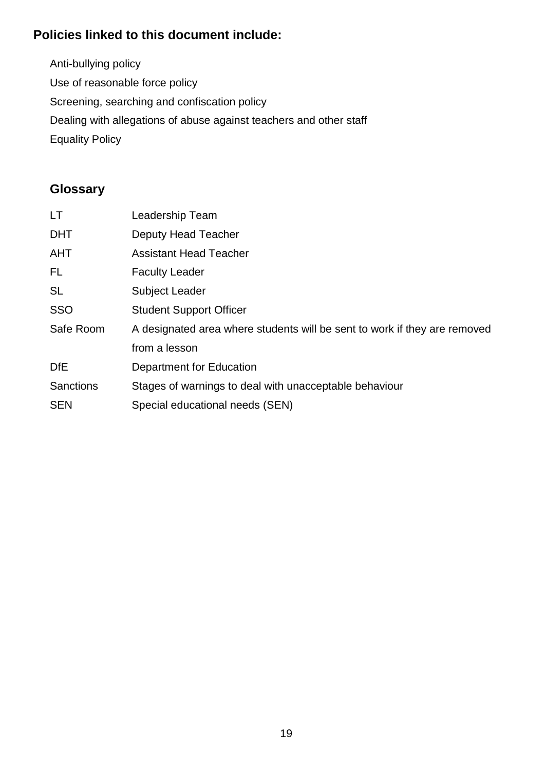## **Policies linked to this document include:**

Anti-bullying policy Use of reasonable force policy Screening, searching and confiscation policy Dealing with allegations of abuse against teachers and other staff Equality Policy

## **Glossary**

| <b>LT</b>        | Leadership Team                                                           |
|------------------|---------------------------------------------------------------------------|
| <b>DHT</b>       | <b>Deputy Head Teacher</b>                                                |
| <b>AHT</b>       | <b>Assistant Head Teacher</b>                                             |
| FL.              | <b>Faculty Leader</b>                                                     |
| <b>SL</b>        | <b>Subject Leader</b>                                                     |
| <b>SSO</b>       | <b>Student Support Officer</b>                                            |
| Safe Room        | A designated area where students will be sent to work if they are removed |
|                  | from a lesson                                                             |
| <b>DfE</b>       | Department for Education                                                  |
| <b>Sanctions</b> | Stages of warnings to deal with unacceptable behaviour                    |
| <b>SEN</b>       | Special educational needs (SEN)                                           |